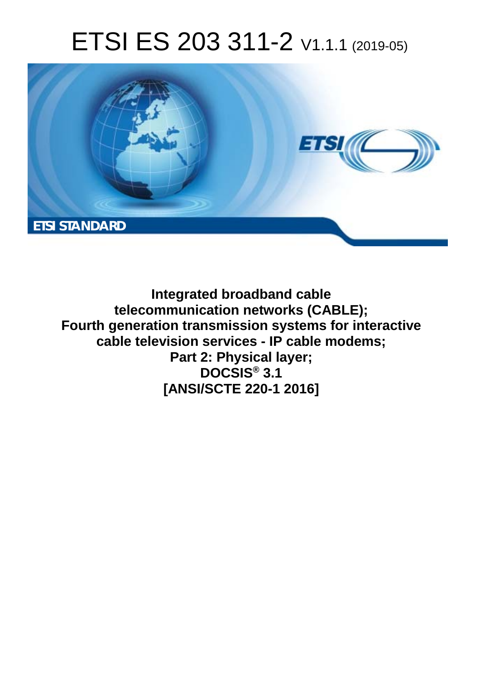# ETSI ES 203 311-2 V1.1.1 (2019-05)



**Integrated broadband cable telecommunication networks (CABLE); Fourth generation transmission systems for interactive cable television services - IP cable modems; Part 2: Physical layer; DOCSIS® 3.1 [ANSI/SCTE 220-1 2016]**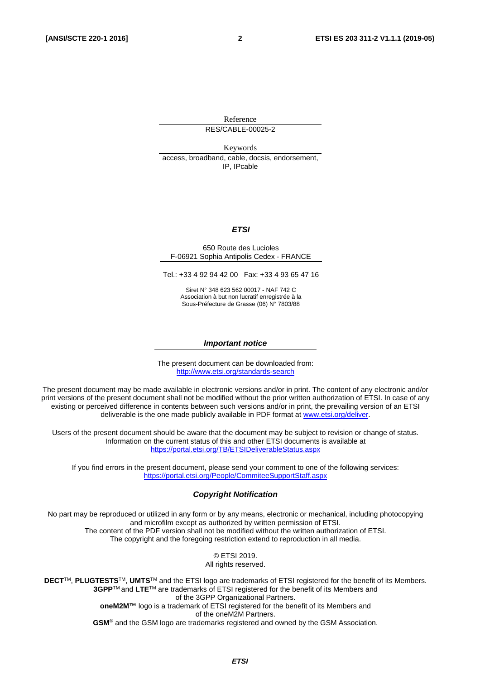Reference RES/CABLE-00025-2

Keywords access, broadband, cable, docsis, endorsement, IP, IPcable

#### *ETSI*

#### 650 Route des Lucioles F-06921 Sophia Antipolis Cedex - FRANCE

Tel.: +33 4 92 94 42 00 Fax: +33 4 93 65 47 16

Siret N° 348 623 562 00017 - NAF 742 C Association à but non lucratif enregistrée à la Sous-Préfecture de Grasse (06) N° 7803/88

#### *Important notice*

The present document can be downloaded from: <http://www.etsi.org/standards-search>

The present document may be made available in electronic versions and/or in print. The content of any electronic and/or print versions of the present document shall not be modified without the prior written authorization of ETSI. In case of any existing or perceived difference in contents between such versions and/or in print, the prevailing version of an ETSI deliverable is the one made publicly available in PDF format at [www.etsi.org/deliver](http://www.etsi.org/deliver).

Users of the present document should be aware that the document may be subject to revision or change of status. Information on the current status of this and other ETSI documents is available at <https://portal.etsi.org/TB/ETSIDeliverableStatus.aspx>

If you find errors in the present document, please send your comment to one of the following services: <https://portal.etsi.org/People/CommiteeSupportStaff.aspx>

#### *Copyright Notification*

No part may be reproduced or utilized in any form or by any means, electronic or mechanical, including photocopying and microfilm except as authorized by written permission of ETSI. The content of the PDF version shall not be modified without the written authorization of ETSI. The copyright and the foregoing restriction extend to reproduction in all media.

> © ETSI 2019. All rights reserved.

**DECT**TM, **PLUGTESTS**TM, **UMTS**TM and the ETSI logo are trademarks of ETSI registered for the benefit of its Members. **3GPP**TM and **LTE**TM are trademarks of ETSI registered for the benefit of its Members and of the 3GPP Organizational Partners. **oneM2M™** logo is a trademark of ETSI registered for the benefit of its Members and of the oneM2M Partners. **GSM**® and the GSM logo are trademarks registered and owned by the GSM Association.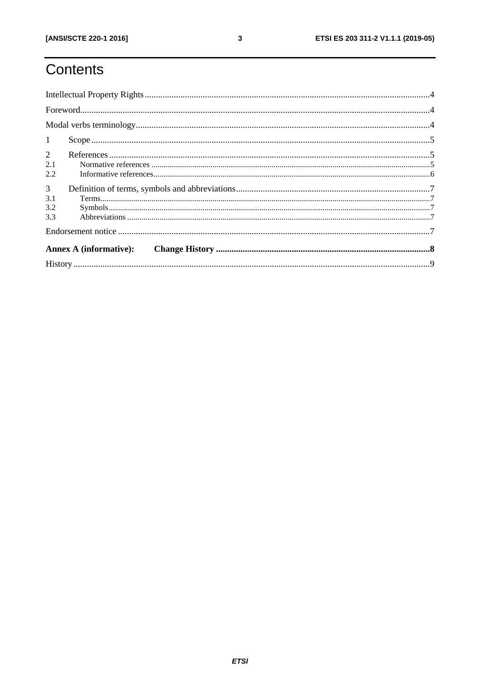# Contents

| 1              |           |  |  |  |  |  |
|----------------|-----------|--|--|--|--|--|
| $\overline{2}$ |           |  |  |  |  |  |
| 2.1            |           |  |  |  |  |  |
| 2.2            |           |  |  |  |  |  |
| 3 <sup>7</sup> |           |  |  |  |  |  |
| 3.1            | Terms. 77 |  |  |  |  |  |
| 3.2            |           |  |  |  |  |  |
| 3.3            |           |  |  |  |  |  |
|                |           |  |  |  |  |  |
|                |           |  |  |  |  |  |
|                |           |  |  |  |  |  |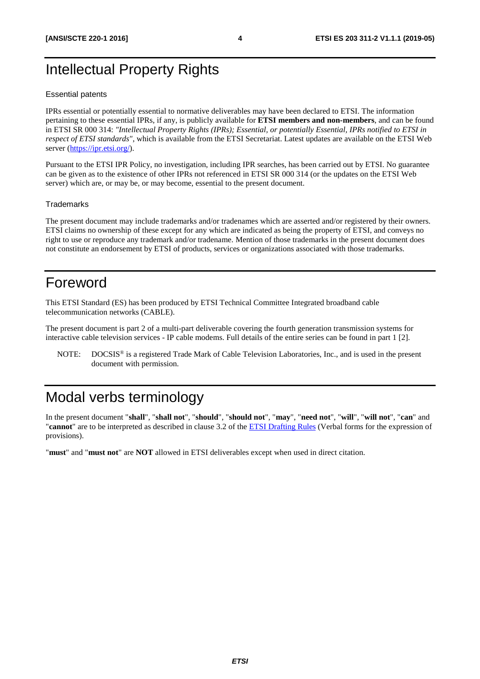### <span id="page-3-0"></span>Intellectual Property Rights

#### Essential patents

IPRs essential or potentially essential to normative deliverables may have been declared to ETSI. The information pertaining to these essential IPRs, if any, is publicly available for **ETSI members and non-members**, and can be found in ETSI SR 000 314: *"Intellectual Property Rights (IPRs); Essential, or potentially Essential, IPRs notified to ETSI in respect of ETSI standards"*, which is available from the ETSI Secretariat. Latest updates are available on the ETSI Web server ([https://ipr.etsi.org/\)](https://ipr.etsi.org/).

Pursuant to the ETSI IPR Policy, no investigation, including IPR searches, has been carried out by ETSI. No guarantee can be given as to the existence of other IPRs not referenced in ETSI SR 000 314 (or the updates on the ETSI Web server) which are, or may be, or may become, essential to the present document.

#### **Trademarks**

The present document may include trademarks and/or tradenames which are asserted and/or registered by their owners. ETSI claims no ownership of these except for any which are indicated as being the property of ETSI, and conveys no right to use or reproduce any trademark and/or tradename. Mention of those trademarks in the present document does not constitute an endorsement by ETSI of products, services or organizations associated with those trademarks.

#### Foreword

This ETSI Standard (ES) has been produced by ETSI Technical Committee Integrated broadband cable telecommunication networks (CABLE).

The present document is part 2 of a multi-part deliverable covering the fourth generation transmission systems for interactive cable television services - IP cable modems. Full details of the entire series can be found in part 1 [\[2](#page-5-0)].

NOTE: DOCSIS® is a registered Trade Mark of Cable Television Laboratories, Inc., and is used in the present document with permission.

### Modal verbs terminology

In the present document "**shall**", "**shall not**", "**should**", "**should not**", "**may**", "**need not**", "**will**", "**will not**", "**can**" and "**cannot**" are to be interpreted as described in clause 3.2 of the [ETSI Drafting Rules](https://portal.etsi.org/Services/editHelp!/Howtostart/ETSIDraftingRules.aspx) (Verbal forms for the expression of provisions).

"**must**" and "**must not**" are **NOT** allowed in ETSI deliverables except when used in direct citation.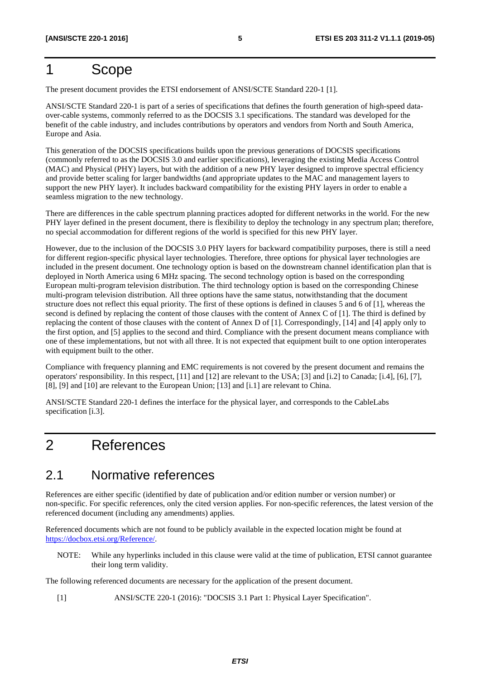### <span id="page-4-0"></span>1 Scope

The present document provides the ETSI endorsement of ANSI/SCTE Standard 220-1 [1].

ANSI/SCTE Standard 220-1 is part of a series of specifications that defines the fourth generation of high-speed dataover-cable systems, commonly referred to as the DOCSIS 3.1 specifications. The standard was developed for the benefit of the cable industry, and includes contributions by operators and vendors from North and South America, Europe and Asia.

This generation of the DOCSIS specifications builds upon the previous generations of DOCSIS specifications (commonly referred to as the DOCSIS 3.0 and earlier specifications), leveraging the existing Media Access Control (MAC) and Physical (PHY) layers, but with the addition of a new PHY layer designed to improve spectral efficiency and provide better scaling for larger bandwidths (and appropriate updates to the MAC and management layers to support the new PHY layer). It includes backward compatibility for the existing PHY layers in order to enable a seamless migration to the new technology.

There are differences in the cable spectrum planning practices adopted for different networks in the world. For the new PHY layer defined in the present document, there is flexibility to deploy the technology in any spectrum plan; therefore, no special accommodation for different regions of the world is specified for this new PHY layer.

However, due to the inclusion of the DOCSIS 3.0 PHY layers for backward compatibility purposes, there is still a need for different region-specific physical layer technologies. Therefore, three options for physical layer technologies are included in the present document. One technology option is based on the downstream channel identification plan that is deployed in North America using 6 MHz spacing. The second technology option is based on the corresponding European multi-program television distribution. The third technology option is based on the corresponding Chinese multi-program television distribution. All three options have the same status, notwithstanding that the document structure does not reflect this equal priority. The first of these options is defined in clauses 5 and 6 of [1], whereas the second is defined by replacing the content of those clauses with the content of Annex C of [1]. The third is defined by replacing the content of those clauses with the content of Annex D of [1]. Correspondingly, [\[14\]](#page-5-0) and [\[4\]](#page-5-0) apply only to the first option, and [[5\]](#page-5-0) applies to the second and third. Compliance with the present document means compliance with one of these implementations, but not with all three. It is not expected that equipment built to one option interoperates with equipment built to the other.

Compliance with frequency planning and EMC requirements is not covered by the present document and remains the operators' responsibility. In this respect, [\[11](#page-5-0)] and [\[12](#page-5-0)] are relevant to the USA; [\[3](#page-5-0)] and [\[i.2](#page-5-0)] to Canada; [\[i.4](#page-5-0)], [\[6](#page-5-0)], [\[7](#page-5-0)], [[8\]](#page-5-0), [\[9\]](#page-5-0) and [[10\]](#page-5-0) are relevant to the European Union; [\[13](#page-5-0)] and [\[i.1\]](#page-5-0) are relevant to China.

ANSI/SCTE Standard 220-1 defines the interface for the physical layer, and corresponds to the CableLabs specification [\[i.3\]](#page-5-0).

### 2 References

#### 2.1 Normative references

References are either specific (identified by date of publication and/or edition number or version number) or non-specific. For specific references, only the cited version applies. For non-specific references, the latest version of the referenced document (including any amendments) applies.

Referenced documents which are not found to be publicly available in the expected location might be found at <https://docbox.etsi.org/Reference/>.

NOTE: While any hyperlinks included in this clause were valid at the time of publication, ETSI cannot guarantee their long term validity.

The following referenced documents are necessary for the application of the present document.

[1] ANSI/SCTE 220-1 (2016): "DOCSIS 3.1 Part 1: Physical Layer Specification".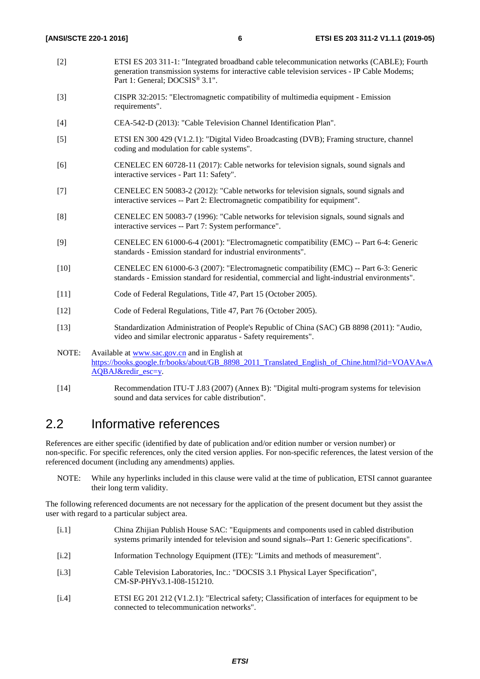- <span id="page-5-0"></span>[2] ETSI ES 203 311-1: "Integrated broadband cable telecommunication networks (CABLE); Fourth generation transmission systems for interactive cable television services - IP Cable Modems; Part 1: General; DOCSIS® 3.1".
- [3] CISPR 32:2015: "Electromagnetic compatibility of multimedia equipment Emission requirements".
- [4] CEA-542-D (2013): "Cable Television Channel Identification Plan".
- [5] ETSI EN 300 429 (V1.2.1): "Digital Video Broadcasting (DVB); Framing structure, channel coding and modulation for cable systems".
- [6] CENELEC EN 60728-11 (2017): Cable networks for television signals, sound signals and interactive services - Part 11: Safety".
- [7] CENELEC EN 50083-2 (2012): "Cable networks for television signals, sound signals and interactive services -- Part 2: Electromagnetic compatibility for equipment".
- [8] CENELEC EN 50083-7 (1996): "Cable networks for television signals, sound signals and interactive services -- Part 7: System performance".
- [9] CENELEC EN 61000-6-4 (2001): "Electromagnetic compatibility (EMC) -- Part 6-4: Generic standards - Emission standard for industrial environments".
- [10] CENELEC EN 61000-6-3 (2007): "Electromagnetic compatibility (EMC) -- Part 6-3: Generic standards - Emission standard for residential, commercial and light-industrial environments".
- [11] Code of Federal Regulations, Title 47, Part 15 (October 2005).
- [12] Code of Federal Regulations, Title 47, Part 76 (October 2005).
- [13] Standardization Administration of People's Republic of China (SAC) GB 8898 (2011): "Audio, video and similar electronic apparatus - Safety requirements".
- NOTE: Available at [www.sac.gov.cn](http://www.sac.gov.cn/) and in English at [https://books.google.fr/books/about/GB\\_8898\\_2011\\_Translated\\_English\\_of\\_Chine.html?id=VOAVAwA](https://books.google.fr/books/about/GB_8898_2011_Translated_English_of_Chine.html?id=VOAVAwAAQBAJ&redir_esc=y) [AQBAJ&redir\\_esc=y](https://books.google.fr/books/about/GB_8898_2011_Translated_English_of_Chine.html?id=VOAVAwAAQBAJ&redir_esc=y).
- [14] Recommendation ITU-T J.83 (2007) (Annex B): "Digital multi-program systems for television sound and data services for cable distribution".

#### 2.2 Informative references

References are either specific (identified by date of publication and/or edition number or version number) or non-specific. For specific references, only the cited version applies. For non-specific references, the latest version of the referenced document (including any amendments) applies.

NOTE: While any hyperlinks included in this clause were valid at the time of publication, ETSI cannot guarantee their long term validity.

The following referenced documents are not necessary for the application of the present document but they assist the user with regard to a particular subject area.

- [i.1] China Zhijian Publish House SAC: "Equipments and components used in cabled distribution systems primarily intended for television and sound signals--Part 1: Generic specifications".
- [i.2] Information Technology Equipment (ITE): "Limits and methods of measurement".
- [i.3] Cable Television Laboratories, Inc.: "DOCSIS 3.1 Physical Layer Specification", CM-SP-PHYv3.1-I08-151210.
- [i.4] ETSI EG 201 212 (V1.2.1): "Electrical safety; Classification of interfaces for equipment to be connected to telecommunication networks".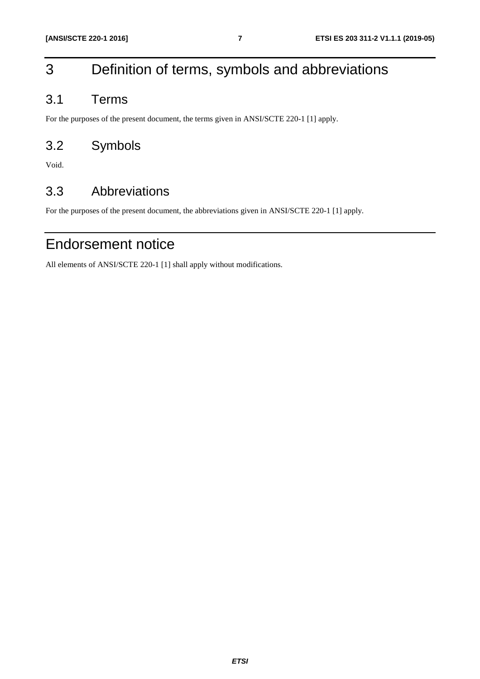# <span id="page-6-0"></span>3 Definition of terms, symbols and abbreviations

### 3.1 Terms

For the purposes of the present document, the terms given in ANSI/SCTE 220-1 [[1\]](#page-4-0) apply.

### 3.2 Symbols

Void.

### 3.3 Abbreviations

For the purposes of the present document, the abbreviations given in ANSI/SCTE 220-1 [\[1](#page-4-0)] apply.

## Endorsement notice

All elements of ANSI/SCTE 220-1 [\[1](#page-4-0)] shall apply without modifications.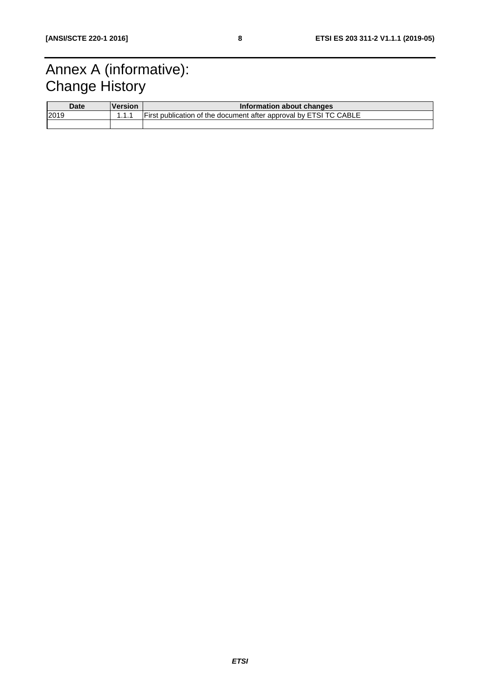# <span id="page-7-0"></span>Annex A (informative): **Change History**

| <b>Date</b> | <b>Version</b> | Information about changes                                         |  |
|-------------|----------------|-------------------------------------------------------------------|--|
| 2019        |                | First publication of the document after approval by ETSI TC CABLE |  |
|             |                |                                                                   |  |